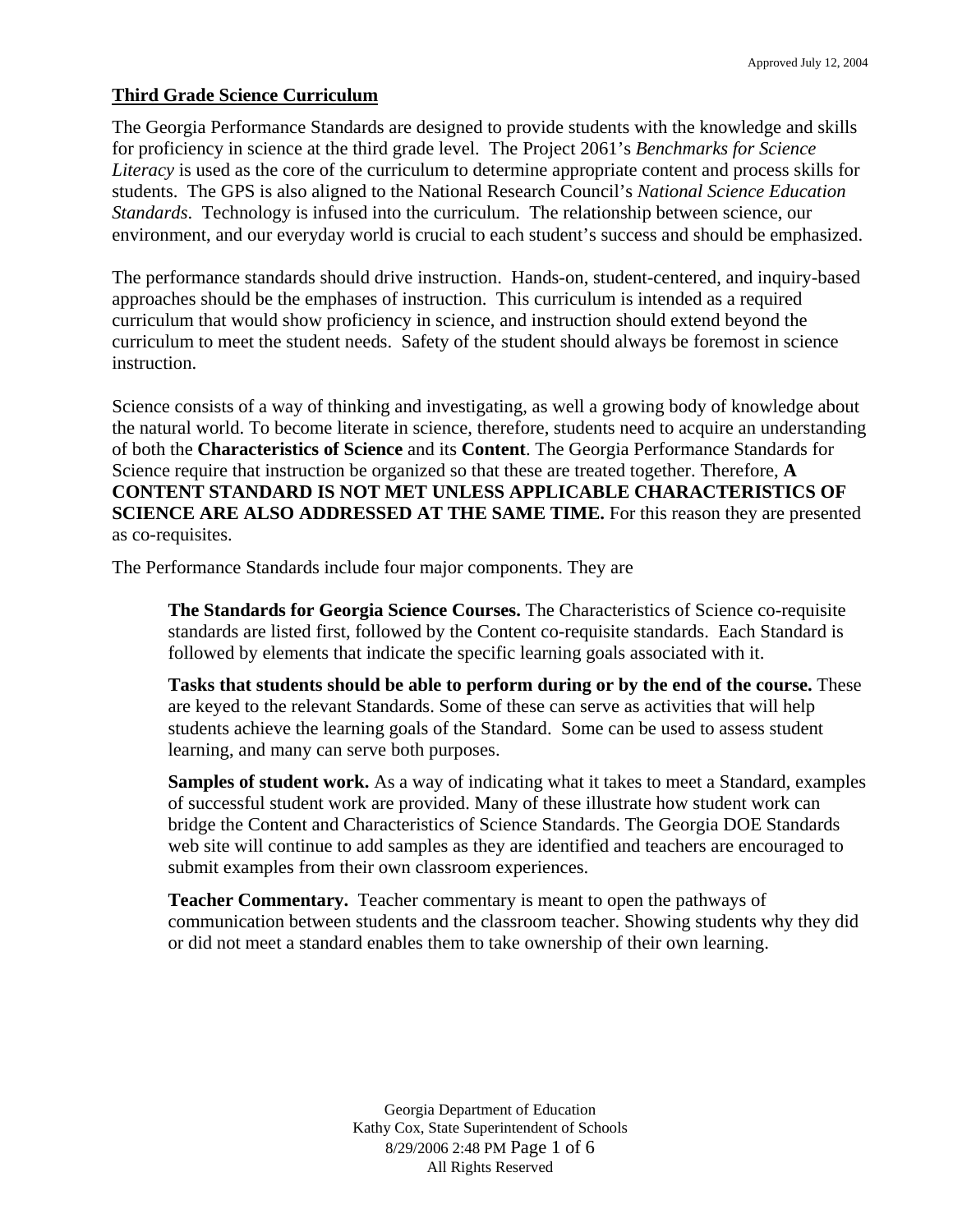#### **Third Grade Science Curriculum**

The Georgia Performance Standards are designed to provide students with the knowledge and skills for proficiency in science at the third grade level. The Project 2061's *Benchmarks for Science Literacy* is used as the core of the curriculum to determine appropriate content and process skills for students. The GPS is also aligned to the National Research Council's *National Science Education Standards*. Technology is infused into the curriculum. The relationship between science, our environment, and our everyday world is crucial to each student's success and should be emphasized.

The performance standards should drive instruction. Hands-on, student-centered, and inquiry-based approaches should be the emphases of instruction. This curriculum is intended as a required curriculum that would show proficiency in science, and instruction should extend beyond the curriculum to meet the student needs. Safety of the student should always be foremost in science instruction.

Science consists of a way of thinking and investigating, as well a growing body of knowledge about the natural world. To become literate in science, therefore, students need to acquire an understanding of both the **Characteristics of Science** and its **Content**. The Georgia Performance Standards for Science require that instruction be organized so that these are treated together. Therefore, **A CONTENT STANDARD IS NOT MET UNLESS APPLICABLE CHARACTERISTICS OF SCIENCE ARE ALSO ADDRESSED AT THE SAME TIME.** For this reason they are presented as co-requisites.

The Performance Standards include four major components. They are

**The Standards for Georgia Science Courses.** The Characteristics of Science co-requisite standards are listed first, followed by the Content co-requisite standards. Each Standard is followed by elements that indicate the specific learning goals associated with it.

**Tasks that students should be able to perform during or by the end of the course.** These are keyed to the relevant Standards. Some of these can serve as activities that will help students achieve the learning goals of the Standard. Some can be used to assess student learning, and many can serve both purposes.

**Samples of student work.** As a way of indicating what it takes to meet a Standard, examples of successful student work are provided. Many of these illustrate how student work can bridge the Content and Characteristics of Science Standards. The Georgia DOE Standards web site will continue to add samples as they are identified and teachers are encouraged to submit examples from their own classroom experiences.

**Teacher Commentary.** Teacher commentary is meant to open the pathways of communication between students and the classroom teacher. Showing students why they did or did not meet a standard enables them to take ownership of their own learning.

> Georgia Department of Education Kathy Cox, State Superintendent of Schools 8/29/2006 2:48 PM Page 1 of 6 All Rights Reserved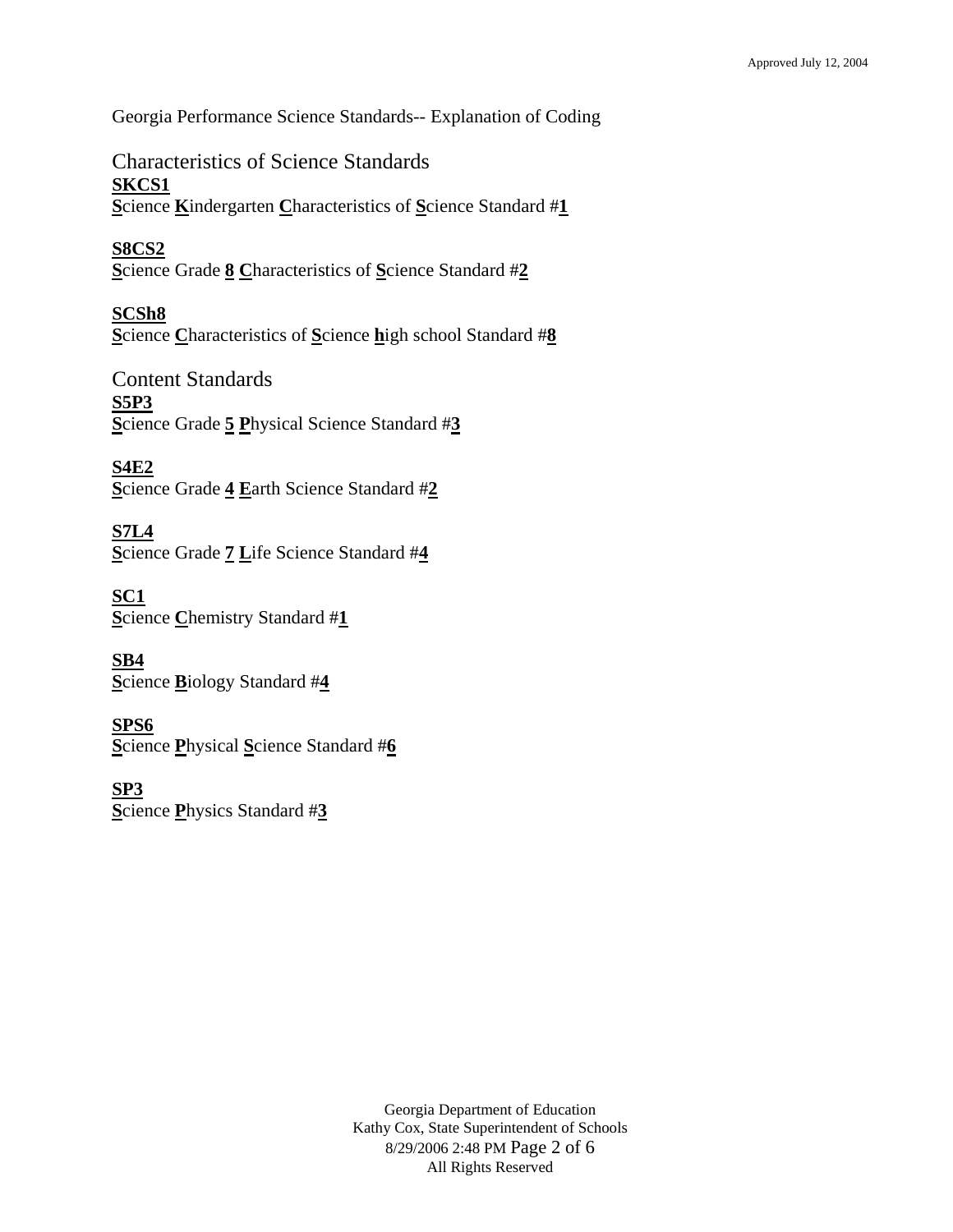Georgia Performance Science Standards-- Explanation of Coding

Characteristics of Science Standards **SKCS1 S**cience **K**indergarten **C**haracteristics of **S**cience Standard #**1**

**S8CS2 S**cience Grade **8 C**haracteristics of **S**cience Standard #**2**

**SCSh8 S**cience **C**haracteristics of **S**cience **h**igh school Standard #**8**

Content Standards **S5P3 S**cience Grade **5 P**hysical Science Standard #**3**

**S4E2 S**cience Grade **4 E**arth Science Standard #**2**

**S7L4 S**cience Grade **7 L**ife Science Standard #**4**

**SC1 S**cience **C**hemistry Standard #**1**

**SB4 S**cience **B**iology Standard #**4**

**SPS6 S**cience **P**hysical **S**cience Standard #**6**

**SP3 S**cience **P**hysics Standard #**3**

> Georgia Department of Education Kathy Cox, State Superintendent of Schools 8/29/2006 2:48 PM Page 2 of 6 All Rights Reserved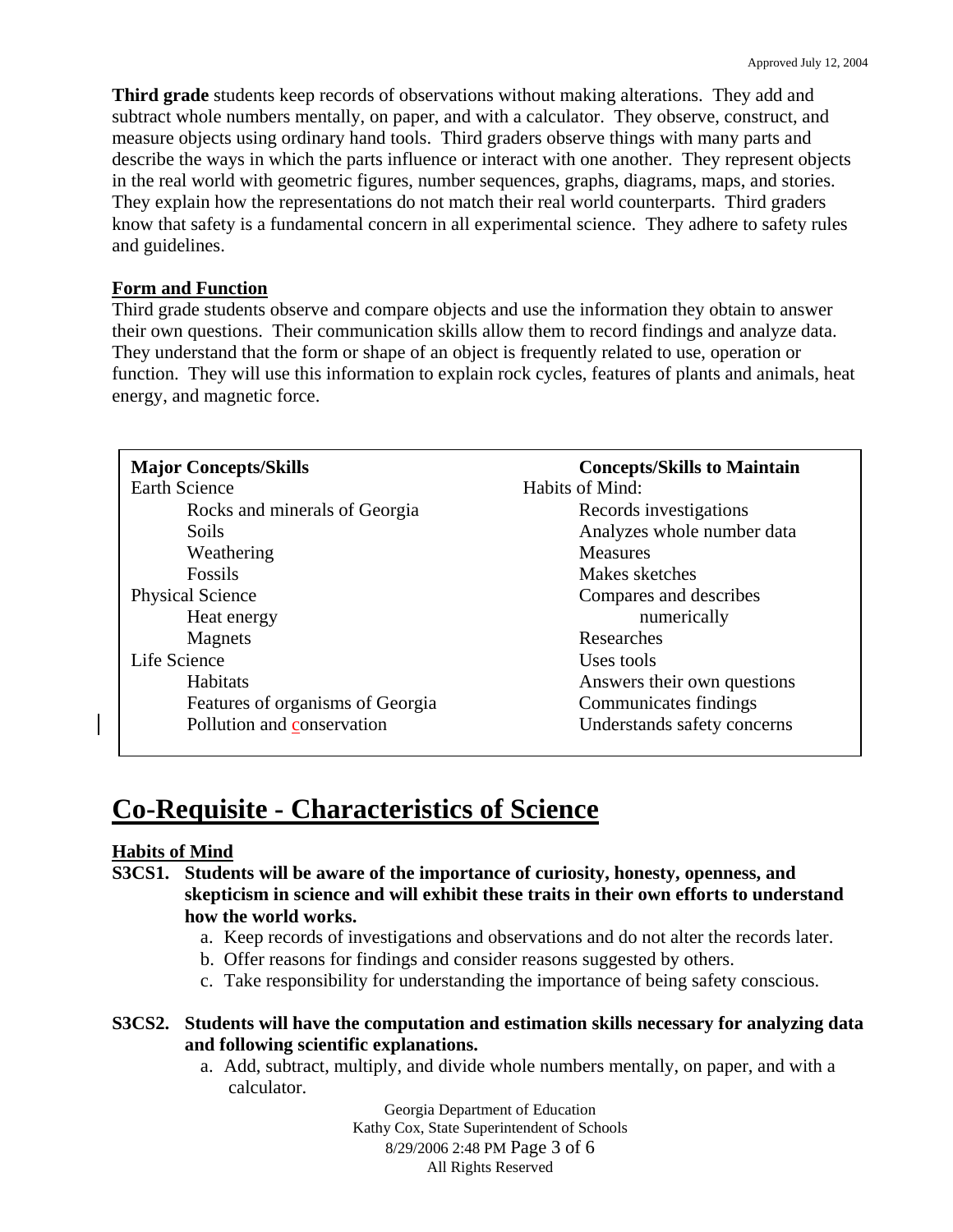**Third grade** students keep records of observations without making alterations. They add and subtract whole numbers mentally, on paper, and with a calculator. They observe, construct, and measure objects using ordinary hand tools. Third graders observe things with many parts and describe the ways in which the parts influence or interact with one another. They represent objects in the real world with geometric figures, number sequences, graphs, diagrams, maps, and stories. They explain how the representations do not match their real world counterparts. Third graders know that safety is a fundamental concern in all experimental science. They adhere to safety rules and guidelines.

#### **Form and Function**

Third grade students observe and compare objects and use the information they obtain to answer their own questions. Their communication skills allow them to record findings and analyze data. They understand that the form or shape of an object is frequently related to use, operation or function. They will use this information to explain rock cycles, features of plants and animals, heat energy, and magnetic force.

| <b>Major Concepts/Skills</b>     | <b>Concepts/Skills to Maintain</b> |
|----------------------------------|------------------------------------|
| <b>Earth Science</b>             | Habits of Mind:                    |
| Rocks and minerals of Georgia    | Records investigations             |
| <b>Soils</b>                     | Analyzes whole number data         |
| Weathering                       | <b>Measures</b>                    |
| <b>Fossils</b>                   | Makes sketches                     |
| <b>Physical Science</b>          | Compares and describes             |
| Heat energy                      | numerically                        |
| Magnets                          | Researches                         |
| Life Science                     | Uses tools                         |
| Habitats                         | Answers their own questions        |
| Features of organisms of Georgia | Communicates findings              |
| Pollution and conservation       | Understands safety concerns        |

## **Co-Requisite - Characteristics of Science**

#### **Habits of Mind**

- **S3CS1. Students will be aware of the importance of curiosity, honesty, openness, and skepticism in science and will exhibit these traits in their own efforts to understand how the world works.** 
	- a. Keep records of investigations and observations and do not alter the records later.
	- b. Offer reasons for findings and consider reasons suggested by others.
	- c. Take responsibility for understanding the importance of being safety conscious.
- **S3CS2. Students will have the computation and estimation skills necessary for analyzing data and following scientific explanations.** 
	- a. Add, subtract, multiply, and divide whole numbers mentally, on paper, and with a calculator.

Georgia Department of Education Kathy Cox, State Superintendent of Schools 8/29/2006 2:48 PM Page 3 of 6 All Rights Reserved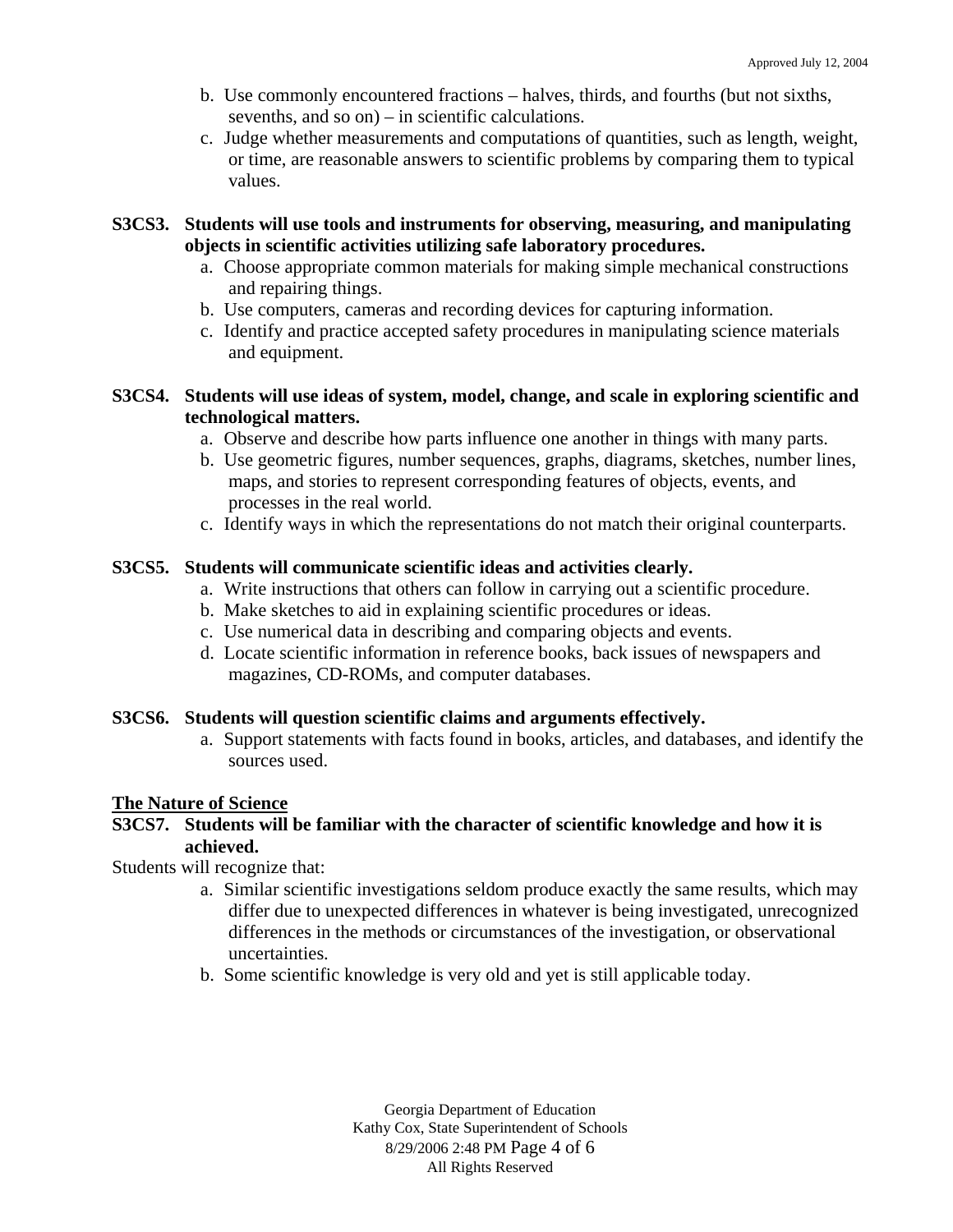- b. Use commonly encountered fractions halves, thirds, and fourths (but not sixths, sevenths, and so on) – in scientific calculations.
- c. Judge whether measurements and computations of quantities, such as length, weight, or time, are reasonable answers to scientific problems by comparing them to typical values.
- **S3CS3. Students will use tools and instruments for observing, measuring, and manipulating objects in scientific activities utilizing safe laboratory procedures.** 
	- a. Choose appropriate common materials for making simple mechanical constructions and repairing things.
	- b. Use computers, cameras and recording devices for capturing information.
	- c. Identify and practice accepted safety procedures in manipulating science materials and equipment.

## **S3CS4. Students will use ideas of system, model, change, and scale in exploring scientific and technological matters.**

- a. Observe and describe how parts influence one another in things with many parts.
- b. Use geometric figures, number sequences, graphs, diagrams, sketches, number lines, maps, and stories to represent corresponding features of objects, events, and processes in the real world.
- c. Identify ways in which the representations do not match their original counterparts.

## **S3CS5. Students will communicate scientific ideas and activities clearly.**

- a. Write instructions that others can follow in carrying out a scientific procedure.
- b. Make sketches to aid in explaining scientific procedures or ideas.
- c. Use numerical data in describing and comparing objects and events.
- d. Locate scientific information in reference books, back issues of newspapers and magazines, CD-ROMs, and computer databases.

#### **S3CS6. Students will question scientific claims and arguments effectively.**

a. Support statements with facts found in books, articles, and databases, and identify the sources used.

## **The Nature of Science**

**S3CS7. Students will be familiar with the character of scientific knowledge and how it is achieved.** 

Students will recognize that:

- a. Similar scientific investigations seldom produce exactly the same results, which may differ due to unexpected differences in whatever is being investigated, unrecognized differences in the methods or circumstances of the investigation, or observational uncertainties.
- b. Some scientific knowledge is very old and yet is still applicable today.

Georgia Department of Education Kathy Cox, State Superintendent of Schools 8/29/2006 2:48 PM Page 4 of 6 All Rights Reserved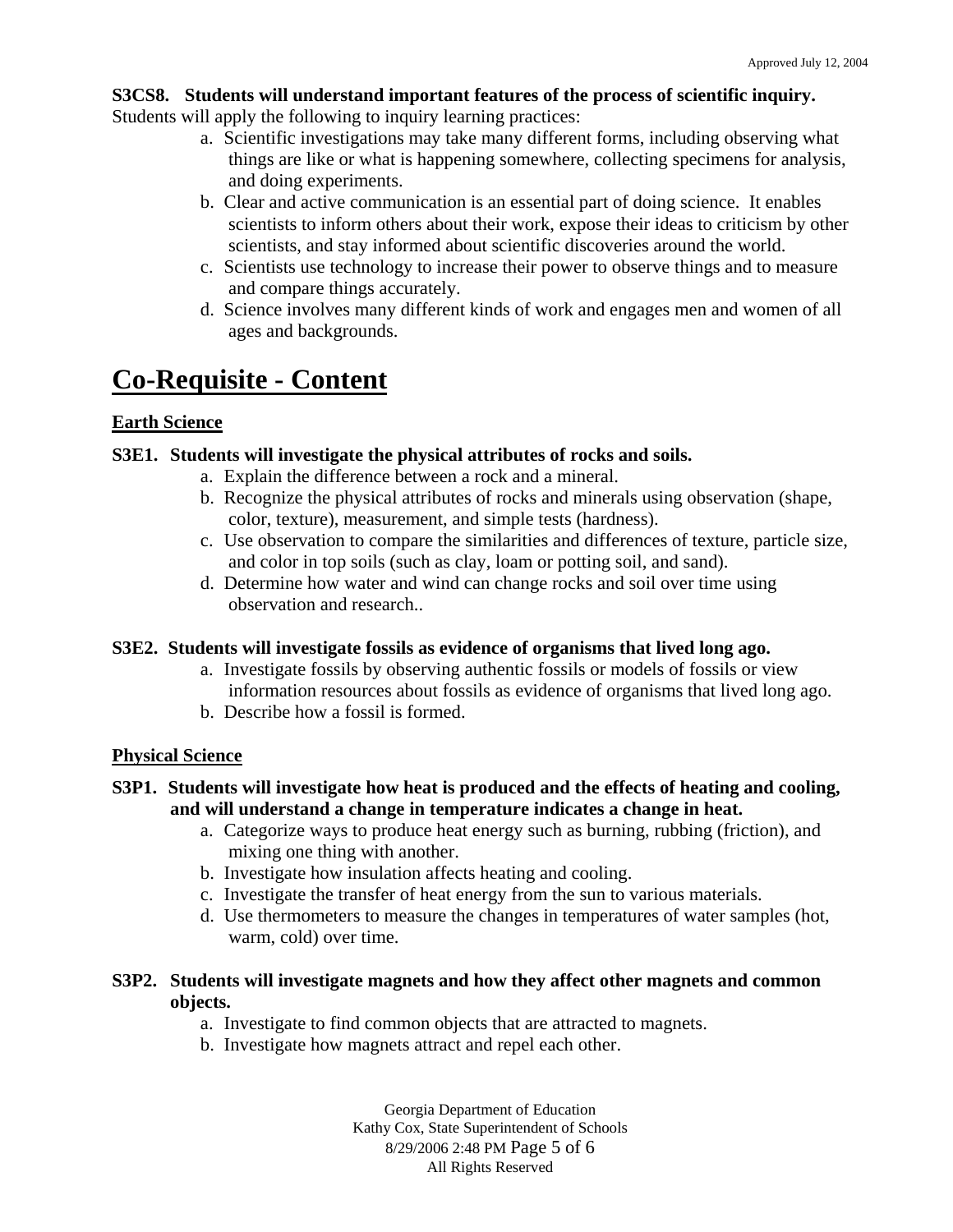## **S3CS8. Students will understand important features of the process of scientific inquiry.**

Students will apply the following to inquiry learning practices:

- a. Scientific investigations may take many different forms, including observing what things are like or what is happening somewhere, collecting specimens for analysis, and doing experiments.
- b. Clear and active communication is an essential part of doing science. It enables scientists to inform others about their work, expose their ideas to criticism by other scientists, and stay informed about scientific discoveries around the world.
- c. Scientists use technology to increase their power to observe things and to measure and compare things accurately.
- d. Science involves many different kinds of work and engages men and women of all ages and backgrounds.

# **Co-Requisite - Content**

## **Earth Science**

## **S3E1. Students will investigate the physical attributes of rocks and soils.**

- a. Explain the difference between a rock and a mineral.
- b. Recognize the physical attributes of rocks and minerals using observation (shape, color, texture), measurement, and simple tests (hardness).
- c. Use observation to compare the similarities and differences of texture, particle size, and color in top soils (such as clay, loam or potting soil, and sand).
- d. Determine how water and wind can change rocks and soil over time using observation and research..

#### **S3E2. Students will investigate fossils as evidence of organisms that lived long ago.**

- a. Investigate fossils by observing authentic fossils or models of fossils or view information resources about fossils as evidence of organisms that lived long ago.
- b. Describe how a fossil is formed.

## **Physical Science**

## **S3P1. Students will investigate how heat is produced and the effects of heating and cooling, and will understand a change in temperature indicates a change in heat.**

- a. Categorize ways to produce heat energy such as burning, rubbing (friction), and mixing one thing with another.
- b. Investigate how insulation affects heating and cooling.
- c. Investigate the transfer of heat energy from the sun to various materials.
- d. Use thermometers to measure the changes in temperatures of water samples (hot, warm, cold) over time.

## **S3P2. Students will investigate magnets and how they affect other magnets and common objects.**

- a. Investigate to find common objects that are attracted to magnets.
- b. Investigate how magnets attract and repel each other.

Georgia Department of Education Kathy Cox, State Superintendent of Schools 8/29/2006 2:48 PM Page 5 of 6 All Rights Reserved